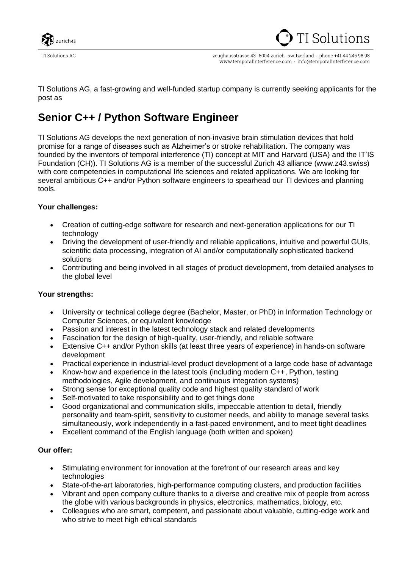

**TI Solutions AG** 

zeughausstrasse 43 · 8004 zurich · switzerland · phone +41 44 245 98 98 www.temporalinterference.com info@temporalinterference.com

TI Solutions AG, a fast-growing and well-funded startup company is currently seeking applicants for the post as

## **Senior C++ / Python Software Engineer**

TI Solutions AG develops the next generation of non-invasive brain stimulation devices that hold promise for a range of diseases such as Alzheimer's or stroke rehabilitation. The company was founded by the inventors of temporal interference (TI) concept at MIT and Harvard (USA) and the IT'IS Foundation (CH)). TI Solutions AG is a member of the successful Zurich 43 alliance [\(www.z43.swiss\)](http://www.z43.swiss/) with core competencies in computational life sciences and related applications. We are looking for several ambitious C++ and/or Python software engineers to spearhead our TI devices and planning tools.

## **Your challenges:**

- Creation of cutting-edge software for research and next-generation applications for our TI technology
- Driving the development of user-friendly and reliable applications, intuitive and powerful GUIs, scientific data processing, integration of AI and/or computationally sophisticated backend solutions
- Contributing and being involved in all stages of product development, from detailed analyses to the global level

## **Your strengths:**

- University or technical college degree (Bachelor, Master, or PhD) in Information Technology or Computer Sciences, or equivalent knowledge
- Passion and interest in the latest technology stack and related developments
- Fascination for the design of high-quality, user-friendly, and reliable software
- Extensive C++ and/or Python skills (at least three years of experience) in hands-on software development
- Practical experience in industrial-level product development of a large code base of advantage
- Know-how and experience in the latest tools (including modern C++, Python, testing methodologies, Agile development, and continuous integration systems)
- Strong sense for exceptional quality code and highest quality standard of work
- Self-motivated to take responsibility and to get things done
- Good organizational and communication skills, impeccable attention to detail, friendly personality and team-spirit, sensitivity to customer needs, and ability to manage several tasks simultaneously, work independently in a fast-paced environment, and to meet tight deadlines
- Excellent command of the English language (both written and spoken)

## **Our offer:**

- Stimulating environment for innovation at the forefront of our research areas and key technologies
- State-of-the-art laboratories, high-performance computing clusters, and production facilities
- Vibrant and open company culture thanks to a diverse and creative mix of people from across the globe with various backgrounds in physics, electronics, mathematics, biology, etc.
- Colleagues who are smart, competent, and passionate about valuable, cutting-edge work and who strive to meet high ethical standards